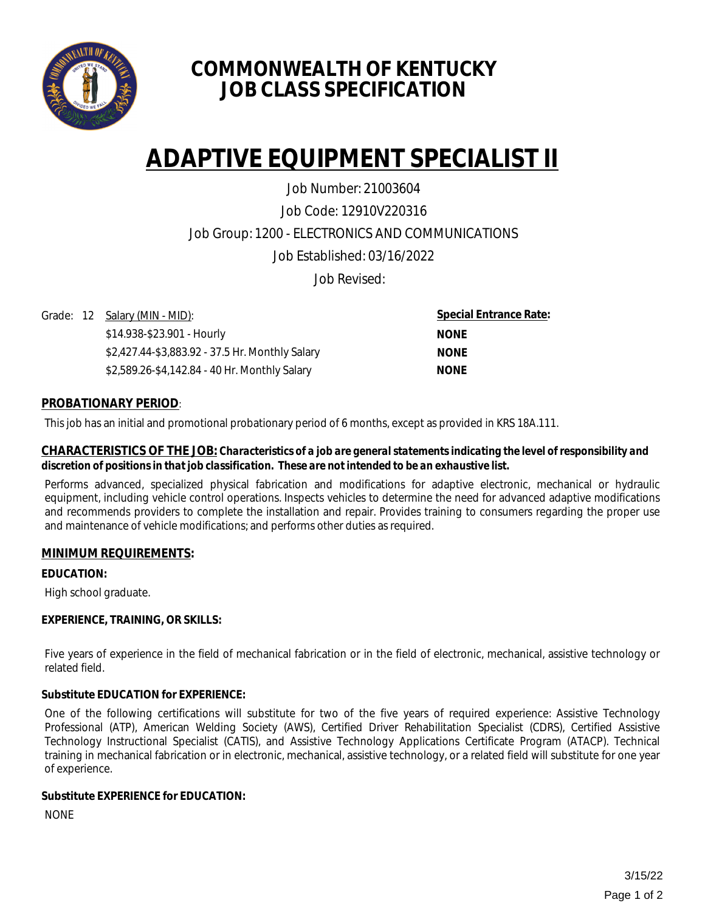

# **COMMONWEALTH OF KENTUCKY JOB CLASS SPECIFICATION**

# **ADAPTIVE EQUIPMENT SPECIALIST II**

Job Code: 12910V220316 Job Group: 1200 - ELECTRONICS AND COMMUNICATIONS Job Established: 03/16/2022 Job Number: 21003604

Job Revised:

Grade: 12 Salary (MIN - MID):

\$14.938-\$23.901 - Hourly \$2,427.44-\$3,883.92 - 37.5 Hr. Monthly Salary \$2,589.26-\$4,142.84 - 40 Hr. Monthly Salary

**Special Entrance Rate: NONE NONE NONE**

# **PROBATIONARY PERIOD**:

This job has an initial and promotional probationary period of 6 months, except as provided in KRS 18A.111.

#### **CHARACTERISTICS OF THE JOB:** *Characteristics of a job are general statements indicating the level of responsibility and discretion of positions in that job classification. These are not intended to be an exhaustive list.*

Performs advanced, specialized physical fabrication and modifications for adaptive electronic, mechanical or hydraulic equipment, including vehicle control operations. Inspects vehicles to determine the need for advanced adaptive modifications and recommends providers to complete the installation and repair. Provides training to consumers regarding the proper use and maintenance of vehicle modifications; and performs other duties as required.

# **MINIMUM REQUIREMENTS:**

**EDUCATION:** 

High school graduate.

# **EXPERIENCE, TRAINING, OR SKILLS:**

Five years of experience in the field of mechanical fabrication or in the field of electronic, mechanical, assistive technology or related field.

# **Substitute EDUCATION for EXPERIENCE:**

One of the following certifications will substitute for two of the five years of required experience: Assistive Technology Professional (ATP), American Welding Society (AWS), Certified Driver Rehabilitation Specialist (CDRS), Certified Assistive Technology Instructional Specialist (CATIS), and Assistive Technology Applications Certificate Program (ATACP). Technical training in mechanical fabrication or in electronic, mechanical, assistive technology, or a related field will substitute for one year of experience.

# **Substitute EXPERIENCE for EDUCATION:**

NONE